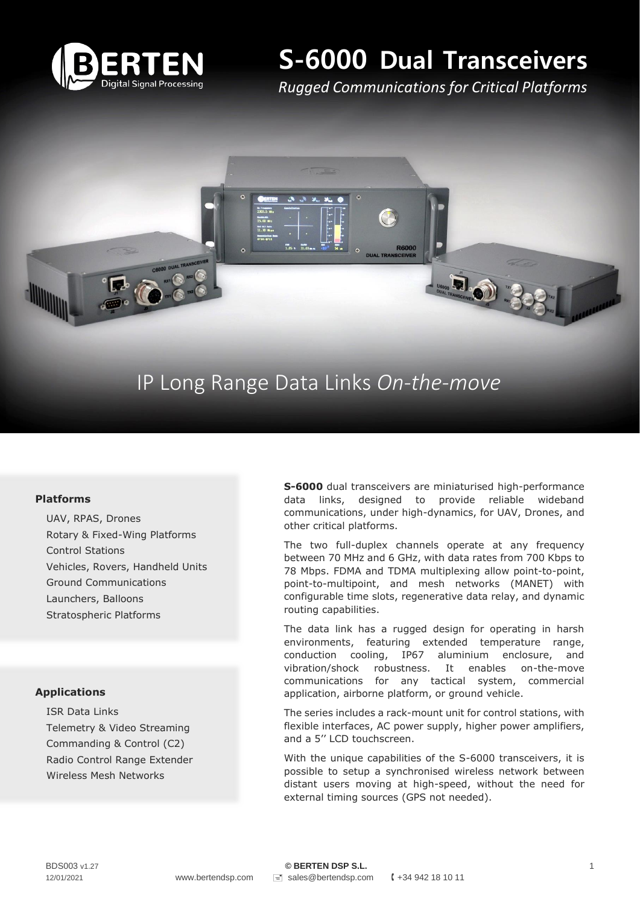

# **S-6000 Dual Transceivers**

*Rugged Communications for Critical Platforms*

## IP Long Range Data Links *On-the-move*

## **Platforms**

UAV, RPAS, Drones Rotary & Fixed-Wing Platforms Control Stations Vehicles, Rovers, Handheld Units Ground Communications Launchers, Balloons Stratospheric Platforms

#### **Applications**

ISR Data Links Telemetry & Video Streaming Commanding & Control (C2) Radio Control Range Extender Wireless Mesh Networks

**S-6000** dual transceivers are miniaturised high-performance data links, designed to provide reliable wideband communications, under high-dynamics, for UAV, Drones, and other critical platforms.

The two full-duplex channels operate at any frequency between 70 MHz and 6 GHz, with data rates from 700 Kbps to 78 Mbps. FDMA and TDMA multiplexing allow point-to-point, point-to-multipoint, and mesh networks (MANET) with configurable time slots, regenerative data relay, and dynamic routing capabilities.

The data link has a rugged design for operating in harsh environments, featuring extended temperature range, conduction cooling, IP67 aluminium enclosure, and vibration/shock robustness. It enables on-the-move communications for any tactical system, commercial application, airborne platform, or ground vehicle.

The series includes a rack-mount unit for control stations, with flexible interfaces, AC power supply, higher power amplifiers, and a 5'' LCD touchscreen.

With the unique capabilities of the S-6000 transceivers, it is possible to setup a synchronised wireless network between distant users moving at high-speed, without the need for external timing sources (GPS not needed).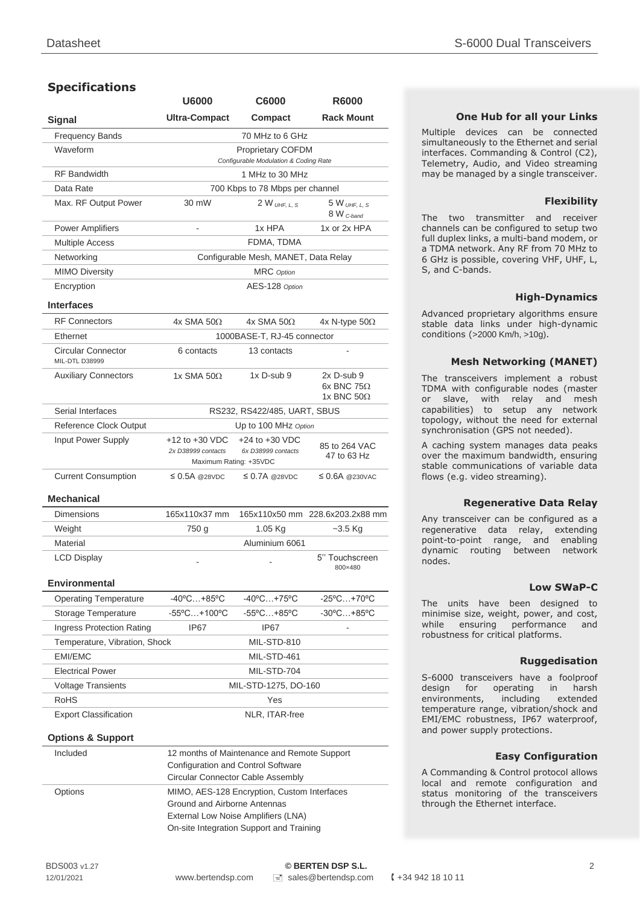## **Specifications**

|                                                    | <b>U6000</b>                                                   | <b>C6000</b>                             | <b>R6000</b>                                              |  |  |  |  |  |  |  |
|----------------------------------------------------|----------------------------------------------------------------|------------------------------------------|-----------------------------------------------------------|--|--|--|--|--|--|--|
| <b>Signal</b>                                      | <b>Ultra-Compact</b>                                           | Compact                                  |                                                           |  |  |  |  |  |  |  |
| <b>Frequency Bands</b>                             |                                                                | 70 MHz to 6 GHz                          |                                                           |  |  |  |  |  |  |  |
| Waveform                                           | Proprietary COFDM<br>Configurable Modulation & Coding Rate     |                                          |                                                           |  |  |  |  |  |  |  |
| <b>RF</b> Bandwidth                                |                                                                | 1 MHz to 30 MHz                          |                                                           |  |  |  |  |  |  |  |
| Data Rate                                          |                                                                | 700 Kbps to 78 Mbps per channel          |                                                           |  |  |  |  |  |  |  |
| Max. RF Output Power                               | 30 mW                                                          | $2 W_{UHE, L.S}$                         | 5 W UHE L S<br>8 W <sub>C-band</sub>                      |  |  |  |  |  |  |  |
| <b>Power Amplifiers</b>                            | L,                                                             | 1x HPA                                   | 1x or 2x HPA                                              |  |  |  |  |  |  |  |
| <b>Multiple Access</b>                             |                                                                | FDMA, TDMA                               |                                                           |  |  |  |  |  |  |  |
| Networking                                         | Configurable Mesh, MANET, Data Relay                           |                                          |                                                           |  |  |  |  |  |  |  |
| <b>MIMO Diversity</b>                              | <b>MRC</b> Option                                              |                                          |                                                           |  |  |  |  |  |  |  |
| Encryption                                         | AES-128 Option                                                 |                                          |                                                           |  |  |  |  |  |  |  |
| <b>Interfaces</b>                                  |                                                                |                                          |                                                           |  |  |  |  |  |  |  |
| <b>RF Connectors</b>                               | $4x$ SMA 50 $\Omega$                                           | $4x$ SMA 50 $\Omega$                     | 4x N-type $50\Omega$                                      |  |  |  |  |  |  |  |
| Ethernet                                           | 1000BASE-T, RJ-45 connector                                    |                                          |                                                           |  |  |  |  |  |  |  |
| <b>Circular Connector</b><br><b>MIL-DTL D38999</b> | 6 contacts                                                     | 13 contacts                              |                                                           |  |  |  |  |  |  |  |
| <b>Auxiliary Connectors</b>                        | 1x SMA 50 $Ω$                                                  | $1x$ D-sub 9                             | $2x$ D-sub 9<br>$6x$ BNC 75 $\Omega$<br>1x BNC $50\Omega$ |  |  |  |  |  |  |  |
| Serial Interfaces                                  | RS232, RS422/485, UART, SBUS                                   |                                          |                                                           |  |  |  |  |  |  |  |
| Reference Clock Output                             | Up to 100 MHz Option                                           |                                          |                                                           |  |  |  |  |  |  |  |
| Input Power Supply                                 | +12 to +30 VDC<br>2x D38999 contacts<br>Maximum Rating: +35VDC | $+24$ to $+30$ VDC<br>6x D38999 contacts | 85 to 264 VAC<br>47 to 63 Hz                              |  |  |  |  |  |  |  |
| <b>Current Consumption</b>                         | $\leq$ 0.5A @28VDC                                             | $\leq$ 0.7A @28VDC                       | $\leq$ 0.6A @230VAC                                       |  |  |  |  |  |  |  |
| Mechanical                                         |                                                                |                                          |                                                           |  |  |  |  |  |  |  |
| Dimensions                                         | 165x110x37 mm                                                  |                                          | 165x110x50 mm 228.6x203.2x88 mm                           |  |  |  |  |  |  |  |
| Weight                                             | 750 g                                                          | 1.05 Kg                                  | ~3.5 Kg                                                   |  |  |  |  |  |  |  |
| Material                                           |                                                                | Aluminium 6061                           |                                                           |  |  |  |  |  |  |  |
| <b>LCD Display</b>                                 |                                                                |                                          | 5" Touchscreen<br>800×480                                 |  |  |  |  |  |  |  |
| <b>Environmental</b>                               |                                                                |                                          |                                                           |  |  |  |  |  |  |  |
| <b>Operating Temperature</b>                       | $-40^{\circ}$ C +85 $^{\circ}$ C                               | $-40^{\circ}$ C +75°C                    | $-25^{\circ}$ C +70 $^{\circ}$ C                          |  |  |  |  |  |  |  |
| Storage Temperature                                | $-55^{\circ}$ C +100 $^{\circ}$ C                              | -55°C+85°C                               | -30°C+85°C                                                |  |  |  |  |  |  |  |
| <b>Ingress Protection Rating</b>                   | IP67                                                           | IP67                                     |                                                           |  |  |  |  |  |  |  |
| Temperature, Vibration, Shock                      |                                                                | MIL-STD-810                              |                                                           |  |  |  |  |  |  |  |
| <b>EMI/EMC</b>                                     |                                                                | MIL-STD-461                              |                                                           |  |  |  |  |  |  |  |
| <b>Electrical Power</b>                            | MIL-STD-704                                                    |                                          |                                                           |  |  |  |  |  |  |  |
| <b>Voltage Transients</b>                          | MIL-STD-1275, DO-160                                           |                                          |                                                           |  |  |  |  |  |  |  |
| <b>RoHS</b>                                        |                                                                | Yes                                      |                                                           |  |  |  |  |  |  |  |
| <b>Export Classification</b>                       |                                                                | NLR, ITAR-free                           |                                                           |  |  |  |  |  |  |  |
| <b>Options &amp; Support</b>                       |                                                                |                                          |                                                           |  |  |  |  |  |  |  |

Included 12 months of Maintenance and Remote Support Configuration and Control Software Circular Connector Cable Assembly Options MIMO, AES-128 Encryption, Custom Interfaces Ground and Airborne Antennas External Low Noise Amplifiers (LNA) On-site Integration Support and Training

#### **One Hub for all your Links**

Multiple devices can be connected simultaneously to the Ethernet and serial interfaces. Commanding & Control (C2), Telemetry, Audio, and Video streaming may be managed by a single transceiver.

#### **Flexibility**

The two transmitter and receiver channels can be configured to setup two full duplex links, a multi-band modem, or a TDMA network. Any RF from 70 MHz to 6 GHz is possible, covering VHF, UHF, L, S, and C-bands.

#### **High-Dynamics**

Advanced proprietary algorithms ensure stable data links under high-dynamic conditions (>2000 Km/h, >10g).

#### **Mesh Networking (MANET)**

The transceivers implement a robust TDMA with configurable nodes (master or slave, with relay and mesh capabilities) to setup any network topology, without the need for external synchronisation (GPS not needed).

A caching system manages data peaks over the maximum bandwidth, ensuring stable communications of variable data flows (e.g. video streaming).

#### **Regenerative Data Relay**

Any transceiver can be configured as a regenerative data relay, extending point-to-point range, and enabling dynamic routing between network nodes.

#### **Low SWaP-C**

The units have been designed to minimise size, weight, power, and cost, while ensuring performance and robustness for critical platforms.

#### **Ruggedisation**

S-6000 transceivers have a foolproof design for operating in harsh environments, including extended temperature range, vibration/shock and EMI/EMC robustness, IP67 waterproof, and power supply protections.

#### **Easy Configuration**

A Commanding & Control protocol allows local and remote configuration and status monitoring of the transceivers through the Ethernet interface.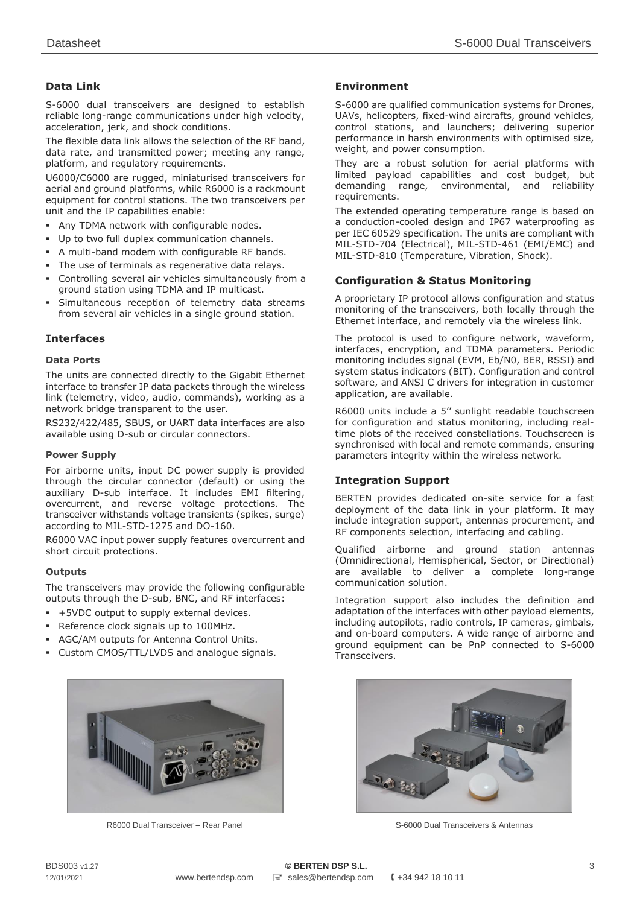## **Data Link**

S-6000 dual transceivers are designed to establish reliable long-range communications under high velocity, acceleration, jerk, and shock conditions.

The flexible data link allows the selection of the RF band, data rate, and transmitted power; meeting any range, platform, and regulatory requirements.

U6000/C6000 are rugged, miniaturised transceivers for aerial and ground platforms, while R6000 is a rackmount equipment for control stations. The two transceivers per unit and the IP capabilities enable:

- Any TDMA network with configurable nodes.
- Up to two full duplex communication channels.
- A multi-band modem with configurable RF bands.
- The use of terminals as regenerative data relays.
- Controlling several air vehicles simultaneously from a ground station using TDMA and IP multicast.
- Simultaneous reception of telemetry data streams from several air vehicles in a single ground station.

## **Interfaces**

#### **Data Ports**

The units are connected directly to the Gigabit Ethernet interface to transfer IP data packets through the wireless link (telemetry, video, audio, commands), working as a network bridge transparent to the user.

RS232/422/485, SBUS, or UART data interfaces are also available using D-sub or circular connectors.

#### **Power Supply**

For airborne units, input DC power supply is provided through the circular connector (default) or using the auxiliary D-sub interface. It includes EMI filtering, overcurrent, and reverse voltage protections. The transceiver withstands voltage transients (spikes, surge) according to MIL-STD-1275 and DO-160.

R6000 VAC input power supply features overcurrent and short circuit protections.

#### **Outputs**

The transceivers may provide the following configurable outputs through the D-sub, BNC, and RF interfaces:

- +5VDC output to supply external devices.
- Reference clock signals up to 100MHz.
- AGC/AM outputs for Antenna Control Units.
- Custom CMOS/TTL/LVDS and analogue signals.



R6000 Dual Transceiver – Rear Panel

#### **Environment**

S-6000 are qualified communication systems for Drones, UAVs, helicopters, fixed-wind aircrafts, ground vehicles, control stations, and launchers; delivering superior performance in harsh environments with optimised size, weight, and power consumption.

They are a robust solution for aerial platforms with limited payload capabilities and cost budget, but demanding range, environmental, and reliability requirements.

The extended operating temperature range is based on a conduction-cooled design and IP67 waterproofing as per IEC 60529 specification. The units are compliant with MIL-STD-704 (Electrical), MIL-STD-461 (EMI/EMC) and MIL-STD-810 (Temperature, Vibration, Shock).

## **Configuration & Status Monitoring**

A proprietary IP protocol allows configuration and status monitoring of the transceivers, both locally through the Ethernet interface, and remotely via the wireless link.

The protocol is used to configure network, waveform, interfaces, encryption, and TDMA parameters. Periodic monitoring includes signal (EVM, Eb/N0, BER, RSSI) and system status indicators (BIT). Configuration and control software, and ANSI C drivers for integration in customer application, are available.

R6000 units include a 5'' sunlight readable touchscreen for configuration and status monitoring, including realtime plots of the received constellations. Touchscreen is synchronised with local and remote commands, ensuring parameters integrity within the wireless network.

#### **Integration Support**

BERTEN provides dedicated on-site service for a fast deployment of the data link in your platform. It may include integration support, antennas procurement, and RF components selection, interfacing and cabling.

Qualified airborne and ground station antennas (Omnidirectional, Hemispherical, Sector, or Directional) are available to deliver a complete long-range communication solution.

Integration support also includes the definition and adaptation of the interfaces with other payload elements, including autopilots, radio controls, IP cameras, gimbals, and on-board computers. A wide range of airborne and ground equipment can be PnP connected to S-6000 **Transceivers** 



S-6000 Dual Transceivers & Antennas